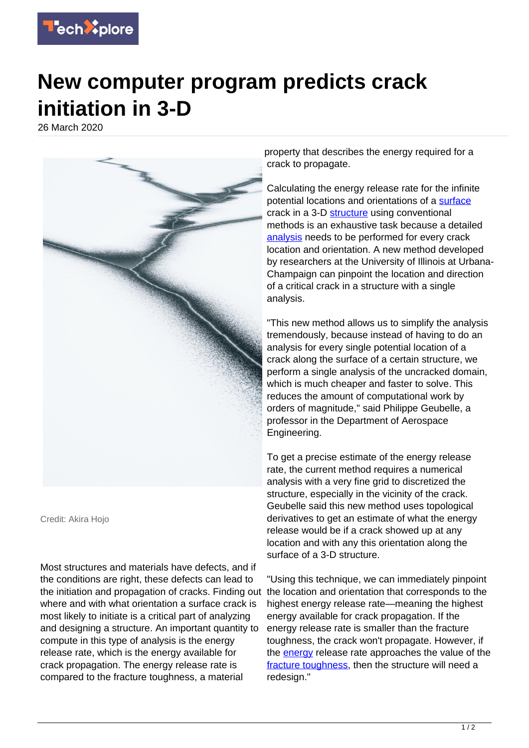

## **New computer program predicts crack initiation in 3-D**

26 March 2020



Credit: Akira Hojo

Most structures and materials have defects, and if the conditions are right, these defects can lead to the initiation and propagation of cracks. Finding out the location and orientation that corresponds to the where and with what orientation a surface crack is most likely to initiate is a critical part of analyzing and designing a structure. An important quantity to compute in this type of analysis is the energy release rate, which is the energy available for crack propagation. The energy release rate is compared to the fracture toughness, a material

property that describes the energy required for a crack to propagate.

Calculating the energy release rate for the infinite potential locations and orientations of a [surface](https://techxplore.com/tags/surface/) crack in a 3-D [structure](https://techxplore.com/tags/structure/) using conventional methods is an exhaustive task because a detailed [analysis](https://techxplore.com/tags/analysis/) needs to be performed for every crack location and orientation. A new method developed by researchers at the University of Illinois at Urbana-Champaign can pinpoint the location and direction of a critical crack in a structure with a single analysis.

"This new method allows us to simplify the analysis tremendously, because instead of having to do an analysis for every single potential location of a crack along the surface of a certain structure, we perform a single analysis of the uncracked domain, which is much cheaper and faster to solve. This reduces the amount of computational work by orders of magnitude," said Philippe Geubelle, a professor in the Department of Aerospace Engineering.

To get a precise estimate of the energy release rate, the current method requires a numerical analysis with a very fine grid to discretized the structure, especially in the vicinity of the crack. Geubelle said this new method uses topological derivatives to get an estimate of what the energy release would be if a crack showed up at any location and with any this orientation along the surface of a 3-D structure.

"Using this technique, we can immediately pinpoint highest energy release rate—meaning the highest energy available for crack propagation. If the energy release rate is smaller than the fracture toughness, the crack won't propagate. However, if the [energy](https://techxplore.com/tags/energy/) release rate approaches the value of the [fracture toughness,](https://techxplore.com/tags/fracture+toughness/) then the structure will need a redesign."